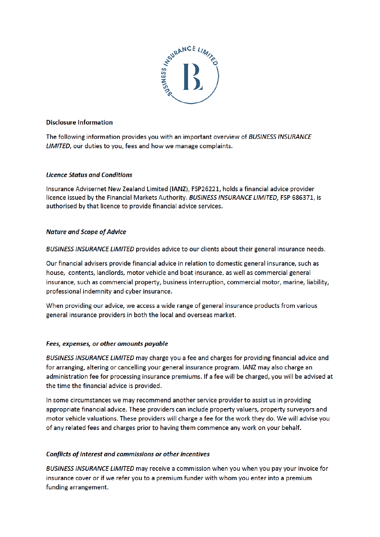

#### Disclosure Information

The following information provides you with an important overview of BUSINESS INSURANCE LIMITED, our duties to you, fees and how we manage complaints.

# **Licence Status and Conditions**

Insurance Advisernet New Zealand Limited (IANZ), FSP26221, holds a financial advice provider licence issued by the Financial Markets Authority. BUSINESS INSURANCE LIMITED, FSP 686371, is authorised by that licence to provide financial advice services

# Nature and Scope of Advice

BUSINESS INSURANCE LIMITED provides advice to our clients about their general insurance needs.

Our financial advisers provide financial advice in relation to domestic general insurance, such as house, contents, landlords, motor vehicle and boat insurance, as well as commercial general insurance, such as commercial property, business interruption, commercial motor, marine, liability, professional indemnity and cyber insurance.

When providing our advice, we access a wide range of general insurance products from various general insurance providers in both the local and overseas market.

#### Fees, expenses, or other amounts payable

BUSINESS INSURANCE LIMITED may charge you a fee and charges for providing financial advice and for arranging, altering or cancelling your general insurance program. IANZ may also charge an administration fee for processing insurance premiums. If a fee will be charged, you will be advised at the time the financial advice is provided.

In some circumstances we may recommend another service provider to assist us in providing appropriate financial advice. These providers can include property valuers, property surveyors and motor vehicle valuations. These providers will charge a fee for the work they do. We will advise you of any related fees and charges prior to having them commence any work on your behalf.

# Conflicts of interest and commissions or other incentives

BUSINESS INSURANCE LIMITED may receive a commission when you when you pay your invoice for insurance cover or if we refer you to a premium funder with whom you enter into a premium funding arrangement.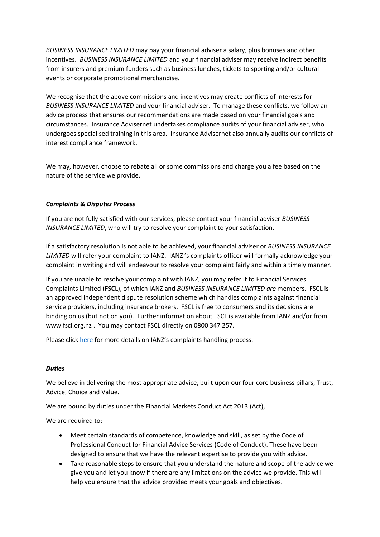*BUSINESS INSURANCE LIMITED* may pay your financial adviser a salary, plus bonuses and other incentives. *BUSINESS INSURANCE LIMITED* and your financial adviser may receive indirect benefits from insurers and premium funders such as business lunches, tickets to sporting and/or cultural events or corporate promotional merchandise.

We recognise that the above commissions and incentives may create conflicts of interests for *BUSINESS INSURANCE LIMITED* and your financial adviser. To manage these conflicts, we follow an advice process that ensures our recommendations are made based on your financial goals and circumstances. Insurance Advisernet undertakes compliance audits of your financial adviser, who undergoes specialised training in this area. Insurance Advisernet also annually audits our conflicts of interest compliance framework.

We may, however, choose to rebate all or some commissions and charge you a fee based on the nature of the service we provide.

#### *Complaints & Disputes Process*

If you are not fully satisfied with our services, please contact your financial adviser *BUSINESS INSURANCE LIMITED*, who will try to resolve your complaint to your satisfaction.

If a satisfactory resolution is not able to be achieved, your financial adviser or *BUSINESS INSURANCE LIMITED* will refer your complaint to IANZ. IANZ 's complaints officer will formally acknowledge your complaint in writing and will endeavour to resolve your complaint fairly and within a timely manner.

If you are unable to resolve your complaint with IANZ, you may refer it to Financial Services Complaints Limited (**FSCL**), of which IANZ and *BUSINESS INSURANCE LIMITED are* members. FSCL is an approved independent dispute resolution scheme which handles complaints against financial service providers, including insurance brokers. FSCL is free to consumers and its decisions are binding on us (but not on you). Further information about FSCL is available from IANZ and/or from www.fscl.org.nz . You may contact FSCL directly on 0800 347 257.

Please click [here](https://insuranceadvisernet.co.nz/compliments-and-complaints) for more details on IANZ's complaints handling process.

#### *Duties*

We believe in delivering the most appropriate advice, built upon our four core business pillars, Trust, Advice, Choice and Value.

We are bound by duties under the Financial Markets Conduct Act 2013 (Act),

We are required to:

- Meet certain standards of competence, knowledge and skill, as set by the Code of Professional Conduct for Financial Advice Services (Code of Conduct). These have been designed to ensure that we have the relevant expertise to provide you with advice.
- Take reasonable steps to ensure that you understand the nature and scope of the advice we give you and let you know if there are any limitations on the advice we provide. This will help you ensure that the advice provided meets your goals and objectives.